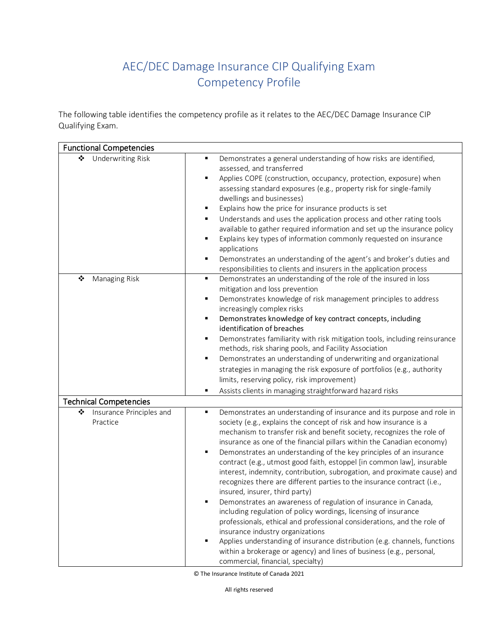## AEC/DEC Damage Insurance CIP Qualifying Exam Competency Profile

The following table identifies the competency profile as it relates to the AEC/DEC Damage Insurance CIP Qualifying Exam.

| <b>Functional Competencies</b>            |                                                                                                                                                                                                                                                                                                                                                                                                                                                                                                                                                                                                                                                                                                                                                                                                                                                                                                                                                                                                                                                                                                                                                      |
|-------------------------------------------|------------------------------------------------------------------------------------------------------------------------------------------------------------------------------------------------------------------------------------------------------------------------------------------------------------------------------------------------------------------------------------------------------------------------------------------------------------------------------------------------------------------------------------------------------------------------------------------------------------------------------------------------------------------------------------------------------------------------------------------------------------------------------------------------------------------------------------------------------------------------------------------------------------------------------------------------------------------------------------------------------------------------------------------------------------------------------------------------------------------------------------------------------|
| ❖<br><b>Underwriting Risk</b>             | $\blacksquare$<br>Demonstrates a general understanding of how risks are identified,<br>assessed, and transferred<br>$\blacksquare$<br>Applies COPE (construction, occupancy, protection, exposure) when<br>assessing standard exposures (e.g., property risk for single-family<br>dwellings and businesses)<br>Explains how the price for insurance products is set<br>٠<br>Understands and uses the application process and other rating tools<br>$\blacksquare$<br>available to gather required information and set up the insurance policy<br>Explains key types of information commonly requested on insurance<br>$\blacksquare$<br>applications<br>$\blacksquare$<br>Demonstrates an understanding of the agent's and broker's duties and<br>responsibilities to clients and insurers in the application process                                                                                                                                                                                                                                                                                                                                |
| ❖<br>Managing Risk                        | $\blacksquare$<br>Demonstrates an understanding of the role of the insured in loss<br>mitigation and loss prevention<br>Demonstrates knowledge of risk management principles to address<br>$\blacksquare$<br>increasingly complex risks<br>Demonstrates knowledge of key contract concepts, including<br>$\blacksquare$<br>identification of breaches<br>Demonstrates familiarity with risk mitigation tools, including reinsurance<br>$\blacksquare$<br>methods, risk sharing pools, and Facility Association<br>$\blacksquare$<br>Demonstrates an understanding of underwriting and organizational<br>strategies in managing the risk exposure of portfolios (e.g., authority<br>limits, reserving policy, risk improvement)<br>$\blacksquare$<br>Assists clients in managing straightforward hazard risks                                                                                                                                                                                                                                                                                                                                         |
| <b>Technical Competencies</b>             |                                                                                                                                                                                                                                                                                                                                                                                                                                                                                                                                                                                                                                                                                                                                                                                                                                                                                                                                                                                                                                                                                                                                                      |
| ❖<br>Insurance Principles and<br>Practice | Demonstrates an understanding of insurance and its purpose and role in<br>٠<br>society (e.g., explains the concept of risk and how insurance is a<br>mechanism to transfer risk and benefit society, recognizes the role of<br>insurance as one of the financial pillars within the Canadian economy)<br>Demonstrates an understanding of the key principles of an insurance<br>$\blacksquare$<br>contract (e.g., utmost good faith, estoppel [in common law], insurable<br>interest, indemnity, contribution, subrogation, and proximate cause) and<br>recognizes there are different parties to the insurance contract (i.e.,<br>insured, insurer, third party)<br>$\blacksquare$<br>Demonstrates an awareness of regulation of insurance in Canada,<br>including regulation of policy wordings, licensing of insurance<br>professionals, ethical and professional considerations, and the role of<br>insurance industry organizations<br>$\blacksquare$<br>Applies understanding of insurance distribution (e.g. channels, functions<br>within a brokerage or agency) and lines of business (e.g., personal,<br>commercial, financial, specialty) |

© The Insurance Institute of Canada 2021

All rights reserved